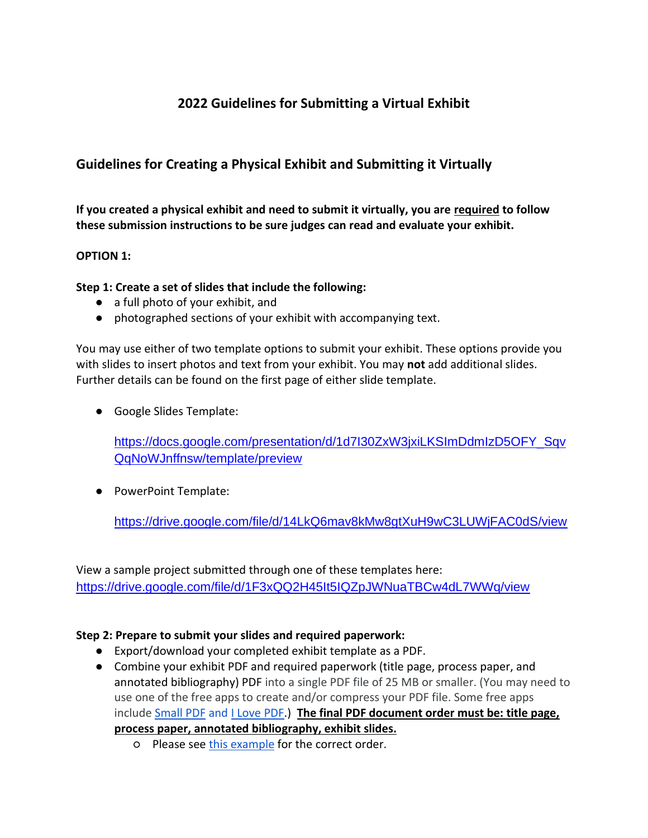# **2022 Guidelines for Submitting a Virtual Exhibit**

## **Guidelines for Creating a Physical Exhibit and Submitting it Virtually**

**If you created a physical exhibit and need to submit it virtually, you are required to follow these submission instructions to be sure judges can read and evaluate your exhibit.**

### **OPTION 1:**

#### **Step 1: Create a set of slides that include the following:**

- a full photo of your exhibit, and
- photographed sections of your exhibit with accompanying text.

You may use either of two template options to submit your exhibit. These options provide you with slides to insert photos and text from your exhibit. You may **not** add additional slides. Further details can be found on the first page of either slide template.

● Google Slides Template:

[https://docs.google.com/presentation/d/1d7I30ZxW3jxiLKSImDdmIzD5OFY\\_Sqv](https://docs.google.com/presentation/d/1d7I30ZxW3jxiLKSImDdmIzD5OFY_SqvQqNoWJnffnsw/template/preview) [QqNoWJnffnsw/template/preview](https://docs.google.com/presentation/d/1d7I30ZxW3jxiLKSImDdmIzD5OFY_SqvQqNoWJnffnsw/template/preview)

● [PowerP](https://drive.google.com/file/d/14LkQ6mav8kMw8gtXuH9wC3LUWjFAC0dS/view?usp=sharing)oint Template:

<https://drive.google.com/file/d/14LkQ6mav8kMw8gtXuH9wC3LUWjFAC0dS/view>

View a sample project submitted through one of these templates here: <https://drive.google.com/file/d/1F3xQQ2H45It5IQZpJWNuaTBCw4dL7WWq/view>

### **Step 2: Prepare to submit your slides and required paperwork:**

- Export/download your completed exhibit template as a PDF.
- Combine your exhibit PDF and required paperwork (title page, process paper, and annotated bibliography) PDF into a single PDF file of 25 MB or smaller. (You may need to use one of the free apps to create and/or compress your PDF file. Some free apps include [Small PDF](https://smallpdf.com/) and [I Love PDF.](https://www.ilovepdf.com/)) **The final PDF document order must be: title page, process paper, annotated bibliography, exhibit slides.** 
	- o Please see [this example](https://drive.google.com/file/d/1eifpfDehiQzOHvIE98T1ZJpUnT_lxpTh/view?usp=sharing) for the correct order.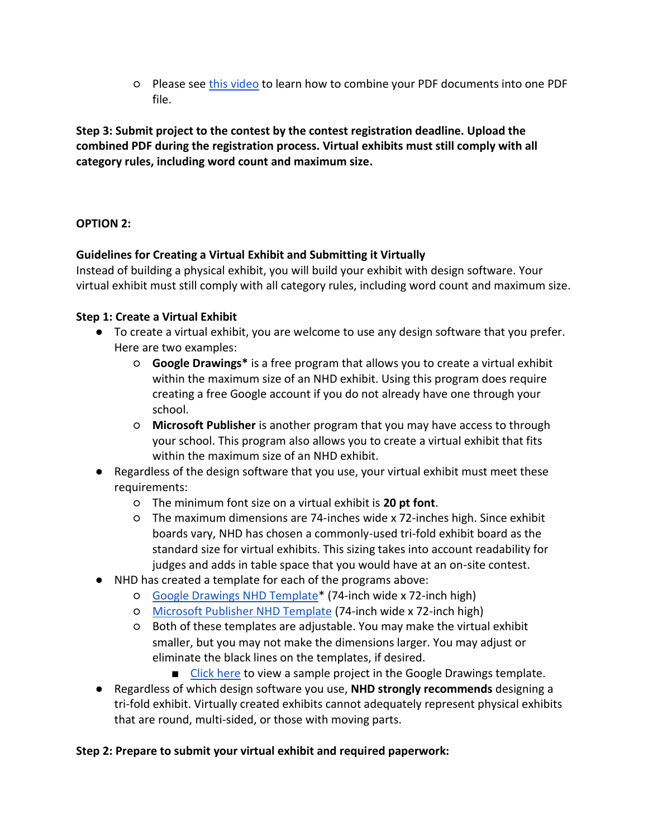○ Please see [this video](https://youtu.be/VunwovyV0dI) to learn how to combine your PDF documents into one PDF file.

**Step 3: Submit project to the contest by the contest registration deadline. Upload the combined PDF during the registration process. Virtual exhibits must still comply with all category rules, including word count and maximum size.**

### **OPTION 2:**

### **Guidelines for Creating a Virtual Exhibit and Submitting it Virtually**

Instead of building a physical exhibit, you will build your exhibit with design software. Your virtual exhibit must still comply with all category rules, including word count and maximum size.

### **Step 1: Create a Virtual Exhibit**

- To create a virtual exhibit, you are welcome to use any design software that you prefer. Here are two examples:
	- **Google Drawings\*** is a free program that allows you to create a virtual exhibit within the maximum size of an NHD exhibit. Using this program does require creating a free Google account if you do not already have one through your school.
	- **Microsoft Publisher** is another program that you may have access to through your school. This program also allows you to create a virtual exhibit that fits within the maximum size of an NHD exhibit.
- Regardless of the design software that you use, your virtual exhibit must meet these requirements:
	- The minimum font size on a virtual exhibit is **20 pt font**.
	- The maximum dimensions are 74-inches wide x 72-inches high. Since exhibit boards vary, NHD has chosen a commonly-used tri-fold exhibit board as the standard size for virtual exhibits. This sizing takes into account readability for judges and adds in table space that you would have at an on-site contest.
- NHD has created a template for each of the programs above:
	- [Google Drawings NHD Template\\*](https://docs.google.com/drawings/d/1t3kKf3_HtkDc7DkGadlcwjjg5rK9BVFFZA56XnFByow/template/preview) (74-inch wide x 72-inch high)
	- [Microsoft Publisher NHD Template](https://drive.google.com/file/d/1Id2h182pVtm6GEii29HbsfqXwpKCqZAb/view?usp=sharing) (74-inch wide x 72-inch high)
	- Both of these templates are adjustable. You may make the virtual exhibit smaller, but you may not make the dimensions larger. You may adjust or eliminate the black lines on the templates, if desired.
		- [Click here](https://drive.google.com/file/d/1O_lcTDo5Kw-Rl_Xt9vHU6lLIceFo9_kt/view?usp=sharing) to view a sample project in the Google Drawings template.
- Regardless of which design software you use, **NHD strongly recommends** designing a tri-fold exhibit. Virtually created exhibits cannot adequately represent physical exhibits that are round, multi-sided, or those with moving parts.

### **Step 2: Prepare to submit your virtual exhibit and required paperwork:**